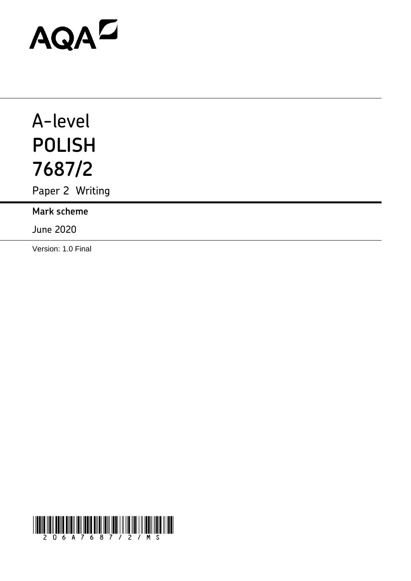# AQAZ

# A-level **POLISH 7687/2**

Paper 2 Writing

**Mark scheme**

June 2020

Version: 1.0 Final

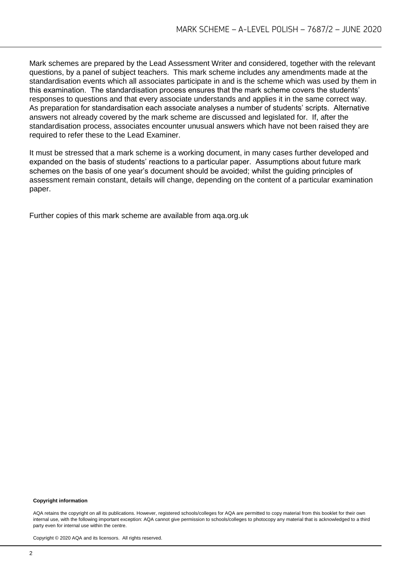Mark schemes are prepared by the Lead Assessment Writer and considered, together with the relevant questions, by a panel of subject teachers. This mark scheme includes any amendments made at the standardisation events which all associates participate in and is the scheme which was used by them in this examination. The standardisation process ensures that the mark scheme covers the students' responses to questions and that every associate understands and applies it in the same correct way. As preparation for standardisation each associate analyses a number of students' scripts. Alternative answers not already covered by the mark scheme are discussed and legislated for. If, after the standardisation process, associates encounter unusual answers which have not been raised they are required to refer these to the Lead Examiner.

It must be stressed that a mark scheme is a working document, in many cases further developed and expanded on the basis of students' reactions to a particular paper. Assumptions about future mark schemes on the basis of one year's document should be avoided; whilst the guiding principles of assessment remain constant, details will change, depending on the content of a particular examination paper.

Further copies of this mark scheme are available from aqa.org.uk

#### **Copyright information**

AQA retains the copyright on all its publications. However, registered schools/colleges for AQA are permitted to copy material from this booklet for their own internal use, with the following important exception: AQA cannot give permission to schools/colleges to photocopy any material that is acknowledged to a third party even for internal use within the centre.

Copyright © 2020 AQA and its licensors. All rights reserved.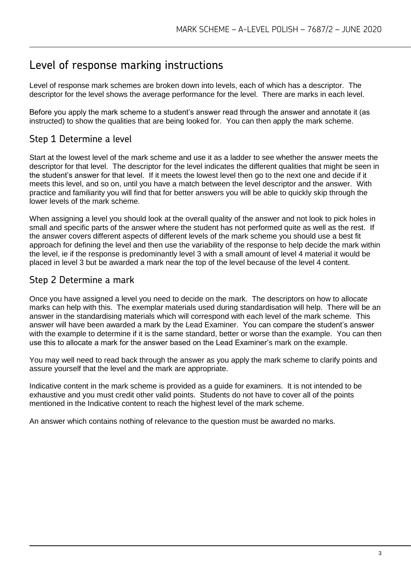### Level of response marking instructions

Level of response mark schemes are broken down into levels, each of which has a descriptor. The descriptor for the level shows the average performance for the level. There are marks in each level.

Before you apply the mark scheme to a student's answer read through the answer and annotate it (as instructed) to show the qualities that are being looked for. You can then apply the mark scheme.

#### Step 1 Determine a level

Start at the lowest level of the mark scheme and use it as a ladder to see whether the answer meets the descriptor for that level. The descriptor for the level indicates the different qualities that might be seen in the student's answer for that level. If it meets the lowest level then go to the next one and decide if it meets this level, and so on, until you have a match between the level descriptor and the answer. With practice and familiarity you will find that for better answers you will be able to quickly skip through the lower levels of the mark scheme.

When assigning a level you should look at the overall quality of the answer and not look to pick holes in small and specific parts of the answer where the student has not performed quite as well as the rest. If the answer covers different aspects of different levels of the mark scheme you should use a best fit approach for defining the level and then use the variability of the response to help decide the mark within the level, ie if the response is predominantly level 3 with a small amount of level 4 material it would be placed in level 3 but be awarded a mark near the top of the level because of the level 4 content.

#### Step 2 Determine a mark

Once you have assigned a level you need to decide on the mark. The descriptors on how to allocate marks can help with this. The exemplar materials used during standardisation will help. There will be an answer in the standardising materials which will correspond with each level of the mark scheme. This answer will have been awarded a mark by the Lead Examiner. You can compare the student's answer with the example to determine if it is the same standard, better or worse than the example. You can then use this to allocate a mark for the answer based on the Lead Examiner's mark on the example.

You may well need to read back through the answer as you apply the mark scheme to clarify points and assure yourself that the level and the mark are appropriate.

Indicative content in the mark scheme is provided as a guide for examiners. It is not intended to be exhaustive and you must credit other valid points. Students do not have to cover all of the points mentioned in the Indicative content to reach the highest level of the mark scheme.

An answer which contains nothing of relevance to the question must be awarded no marks.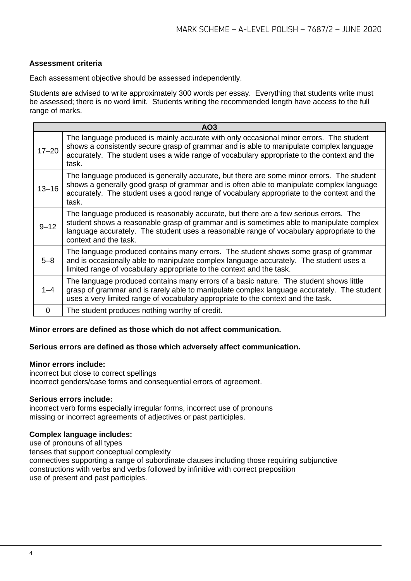#### **Assessment criteria**

Each assessment objective should be assessed independently.

Students are advised to write approximately 300 words per essay. Everything that students write must be assessed; there is no word limit. Students writing the recommended length have access to the full range of marks.

| AO <sub>3</sub> |                                                                                                                                                                                                                                                                                                        |
|-----------------|--------------------------------------------------------------------------------------------------------------------------------------------------------------------------------------------------------------------------------------------------------------------------------------------------------|
| $17 - 20$       | The language produced is mainly accurate with only occasional minor errors. The student<br>shows a consistently secure grasp of grammar and is able to manipulate complex language<br>accurately. The student uses a wide range of vocabulary appropriate to the context and the<br>task.              |
| $13 - 16$       | The language produced is generally accurate, but there are some minor errors. The student<br>shows a generally good grasp of grammar and is often able to manipulate complex language<br>accurately. The student uses a good range of vocabulary appropriate to the context and the<br>task.           |
| $9 - 12$        | The language produced is reasonably accurate, but there are a few serious errors. The<br>student shows a reasonable grasp of grammar and is sometimes able to manipulate complex<br>language accurately. The student uses a reasonable range of vocabulary appropriate to the<br>context and the task. |
| $5 - 8$         | The language produced contains many errors. The student shows some grasp of grammar<br>and is occasionally able to manipulate complex language accurately. The student uses a<br>limited range of vocabulary appropriate to the context and the task.                                                  |
| $1 - 4$         | The language produced contains many errors of a basic nature. The student shows little<br>grasp of grammar and is rarely able to manipulate complex language accurately. The student<br>uses a very limited range of vocabulary appropriate to the context and the task.                               |
| $\Omega$        | The student produces nothing worthy of credit.                                                                                                                                                                                                                                                         |

#### **Minor errors are defined as those which do not affect communication.**

#### **Serious errors are defined as those which adversely affect communication.**

#### **Minor errors include:**

incorrect but close to correct spellings incorrect genders/case forms and consequential errors of agreement.

#### **Serious errors include:**

incorrect verb forms especially irregular forms, incorrect use of pronouns missing or incorrect agreements of adjectives or past participles.

#### **Complex language includes:**

use of pronouns of all types tenses that support conceptual complexity connectives supporting a range of subordinate clauses including those requiring subjunctive constructions with verbs and verbs followed by infinitive with correct preposition use of present and past participles.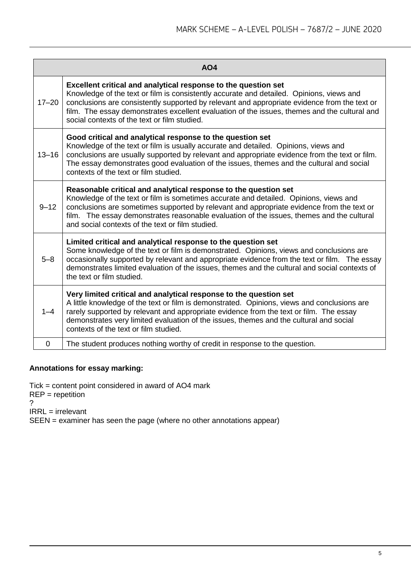| AO <sub>4</sub> |                                                                                                                                                                                                                                                                                                                                                                                                            |
|-----------------|------------------------------------------------------------------------------------------------------------------------------------------------------------------------------------------------------------------------------------------------------------------------------------------------------------------------------------------------------------------------------------------------------------|
| $17 - 20$       | Excellent critical and analytical response to the question set<br>Knowledge of the text or film is consistently accurate and detailed. Opinions, views and<br>conclusions are consistently supported by relevant and appropriate evidence from the text or<br>film. The essay demonstrates excellent evaluation of the issues, themes and the cultural and<br>social contexts of the text or film studied. |
| $13 - 16$       | Good critical and analytical response to the question set<br>Knowledge of the text or film is usually accurate and detailed. Opinions, views and<br>conclusions are usually supported by relevant and appropriate evidence from the text or film.<br>The essay demonstrates good evaluation of the issues, themes and the cultural and social<br>contexts of the text or film studied.                     |
| $9 - 12$        | Reasonable critical and analytical response to the question set<br>Knowledge of the text or film is sometimes accurate and detailed. Opinions, views and<br>conclusions are sometimes supported by relevant and appropriate evidence from the text or<br>film. The essay demonstrates reasonable evaluation of the issues, themes and the cultural<br>and social contexts of the text or film studied.     |
| $5 - 8$         | Limited critical and analytical response to the question set<br>Some knowledge of the text or film is demonstrated. Opinions, views and conclusions are<br>occasionally supported by relevant and appropriate evidence from the text or film. The essay<br>demonstrates limited evaluation of the issues, themes and the cultural and social contexts of<br>the text or film studied.                      |
| $1 - 4$         | Very limited critical and analytical response to the question set<br>A little knowledge of the text or film is demonstrated. Opinions, views and conclusions are<br>rarely supported by relevant and appropriate evidence from the text or film. The essay<br>demonstrates very limited evaluation of the issues, themes and the cultural and social<br>contexts of the text or film studied.              |
| 0               | The student produces nothing worthy of credit in response to the question.                                                                                                                                                                                                                                                                                                                                 |

#### **Annotations for essay marking:**

Tick = content point considered in award of AO4 mark  $REP = repetition$ ? IRRL = irrelevant SEEN = examiner has seen the page (where no other annotations appear)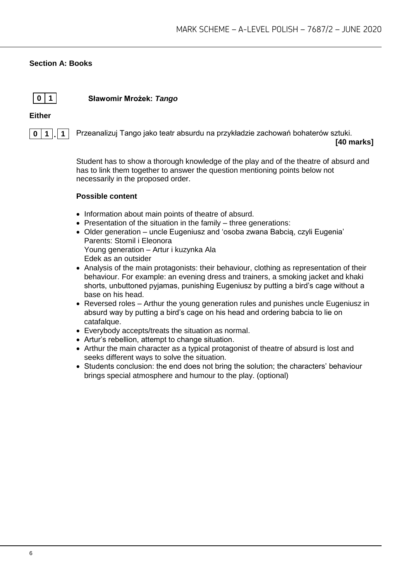#### **Section A: Books**



**0 1 Sławomir Mrożek:** *Tango*

#### **Either**



**0 1 . 1** Przeanalizuj Tango jako teatr absurdu na przykładzie zachowań bohaterów sztuki. **[40 marks]**

> Student has to show a thorough knowledge of the play and of the theatre of absurd and has to link them together to answer the question mentioning points below not necessarily in the proposed order.

- Information about main points of theatre of absurd.
- Presentation of the situation in the family three generations:
- Older generation uncle Eugeniusz and 'osoba zwana Babcią, czyli Eugenia' Parents: Stomil i Eleonora Young generation – Artur i kuzynka Ala Edek as an outsider
- Analysis of the main protagonists: their behaviour, clothing as representation of their behaviour. For example: an evening dress and trainers, a smoking jacket and khaki shorts, unbuttoned pyjamas, punishing Eugeniusz by putting a bird's cage without a base on his head.
- Reversed roles Arthur the young generation rules and punishes uncle Eugeniusz in absurd way by putting a bird's cage on his head and ordering babcia to lie on catafalque.
- Everybody accepts/treats the situation as normal.
- Artur's rebellion, attempt to change situation.
- Arthur the main character as a typical protagonist of theatre of absurd is lost and seeks different ways to solve the situation.
- Students conclusion: the end does not bring the solution; the characters' behaviour brings special atmosphere and humour to the play. (optional)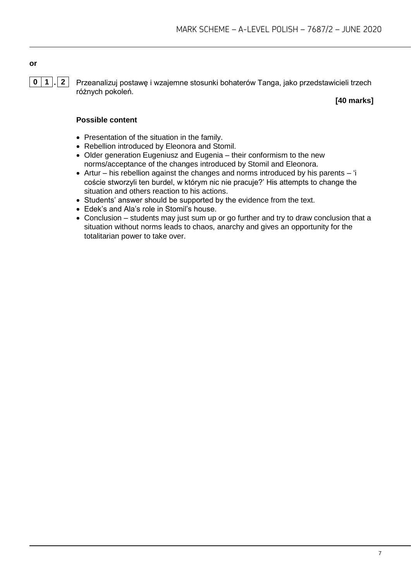# **or**

**0 1 . 2** Przeanalizuj postawę i wzajemne stosunki bohaterów Tanga, jako przedstawicieli trzech różnych pokoleń.

#### **[40 marks]**

#### **Possible content**

- Presentation of the situation in the family.
- Rebellion introduced by Eleonora and Stomil.
- Older generation Eugeniusz and Eugenia their conformism to the new norms/acceptance of the changes introduced by Stomil and Eleonora.
- Artur his rebellion against the changes and norms introduced by his parents 'i coście stworzyli ten burdel, w którym nic nie pracuje?' His attempts to change the situation and others reaction to his actions.
- Students' answer should be supported by the evidence from the text.
- Edek's and Ala's role in Stomil's house.
- Conclusion students may just sum up or go further and try to draw conclusion that a situation without norms leads to chaos, anarchy and gives an opportunity for the totalitarian power to take over.

7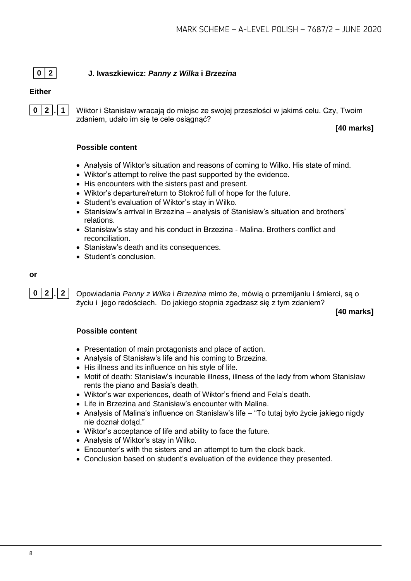#### **0 2 J. Iwaszkiewicz:** *Panny z Wilka* **i** *Brzezina*

#### **Either**



**0 2 . 1** Wiktor i Stanisław wracają do miejsc ze swojej przeszłości w jakimś celu. Czy, Twoim zdaniem, udało im się te cele osiągnąć?

**[40 marks]**

#### **Possible content**

- Analysis of Wiktor's situation and reasons of coming to Wilko. His state of mind.
- Wiktor's attempt to relive the past supported by the evidence.
- His encounters with the sisters past and present.
- Wiktor's departure/return to Stokroć full of hope for the future.
- Student's evaluation of Wiktor's stay in Wilko.
- Stanisław's arrival in Brzezina analysis of Stanisław's situation and brothers' relations.
- Stanisław's stay and his conduct in Brzezina Malina. Brothers conflict and reconciliation.
- Stanisław's death and its consequences.
- Student's conclusion.

#### **or**

**0 2 . 2** Opowiadania *Panny z Wilka* i *Brzezina* mimo że, mówią o przemijaniu i śmierci, są o życiu i jego radościach. Do jakiego stopnia zgadzasz się z tym zdaniem?

**[40 marks]**

- Presentation of main protagonists and place of action.
- Analysis of Stanisław's life and his coming to Brzezina.
- His illness and its influence on his style of life.
- Motif of death: Stanisław's incurable illness, illness of the lady from whom Stanisław rents the piano and Basia's death.
- Wiktor's war experiences, death of Wiktor's friend and Fela's death.
- Life in Brzezina and Stanisław's encounter with Malina.
- Analysis of Malina's influence on Stanislaw's life "To tutaj było życie jakiego nigdy nie doznał dotąd."
- Wiktor's acceptance of life and ability to face the future.
- Analysis of Wiktor's stay in Wilko.
- Encounter's with the sisters and an attempt to turn the clock back.
- Conclusion based on student's evaluation of the evidence they presented.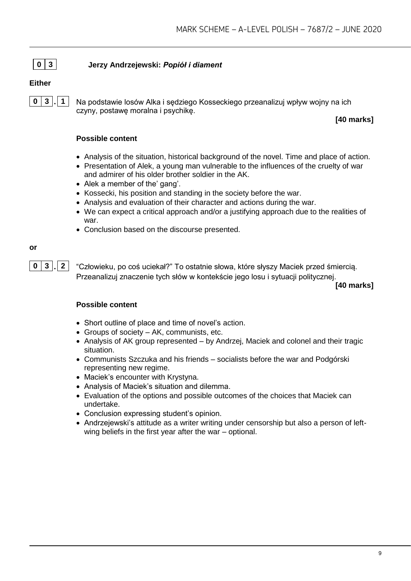#### **0 3 Jerzy Andrzejewski:** *Popiół i diament*

#### **Either**



**0 3 . 1** Na podstawie losów Alka i sędziego Kosseckiego przeanalizuj wpływ wojny na ich czyny, postawę moralna i psychikę.

**[40 marks]**

#### **Possible content**

- Analysis of the situation, historical background of the novel. Time and place of action.
- Presentation of Alek, a young man vulnerable to the influences of the cruelty of war and admirer of his older brother soldier in the AK.
- Alek a member of the' gang'.
- Kossecki, his position and standing in the society before the war.
- Analysis and evaluation of their character and actions during the war.
- We can expect a critical approach and/or a justifying approach due to the realities of war.
- Conclusion based on the discourse presented.

#### **or**

**0 3 . 2** "Człowieku, po coś uciekał?" To ostatnie słowa, które słyszy Maciek przed śmiercią. Przeanalizuj znaczenie tych słów w kontekście jego losu i sytuacji politycznej.

**[40 marks]**

- Short outline of place and time of novel's action.
- Groups of society AK, communists, etc.
- Analysis of AK group represented by Andrzej, Maciek and colonel and their tragic situation.
- Communists Szczuka and his friends socialists before the war and Podgórski representing new regime.
- Maciek's encounter with Krystyna.
- Analysis of Maciek's situation and dilemma.
- Evaluation of the options and possible outcomes of the choices that Maciek can undertake.
- Conclusion expressing student's opinion.
- Andrzejewski's attitude as a writer writing under censorship but also a person of leftwing beliefs in the first year after the war – optional.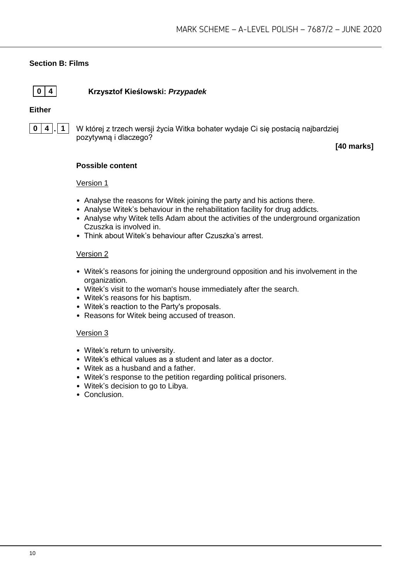#### **Section B: Films**

#### **0 4 Krzysztof Kieślowski:** *Przypadek*

#### **Either**



**0 4 . 1** W której z trzech wersji życia Witka bohater wydaje Ci się postacią najbardziej pozytywną i dlaczego?

**[40 marks]**

#### **Possible content**

#### Version 1

- Analyse the reasons for Witek joining the party and his actions there.
- Analyse Witek's behaviour in the rehabilitation facility for drug addicts.
- Analyse why Witek tells Adam about the activities of the underground organization Czuszka is involved in.
- Think about Witek's behaviour after Czuszka's arrest.

#### Version 2

- Witek's reasons for joining the underground opposition and his involvement in the organization.
- Witek's visit to the woman's house immediately after the search.
- Witek's reasons for his baptism.
- Witek's reaction to the Party's proposals.
- Reasons for Witek being accused of treason.

#### Version 3

- Witek's return to university.
- Witek's ethical values as a student and later as a doctor.
- Witek as a husband and a father.
- Witek's response to the petition regarding political prisoners.
- Witek's decision to go to Libya.
- Conclusion.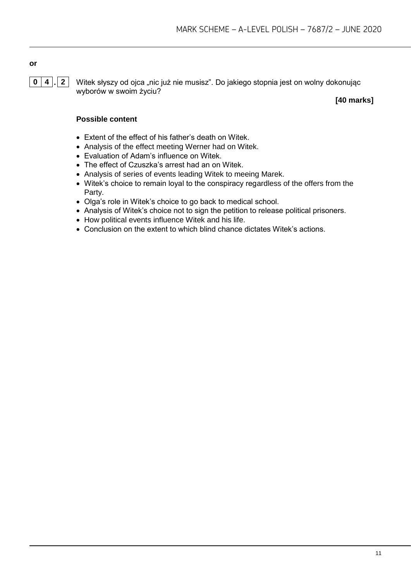# **or**

**0 4 . 2** Witek słyszy od ojca "nic już nie musisz". Do jakiego stopnia jest on wolny dokonując wyborów w swoim życiu?

**[40 marks]**

- Extent of the effect of his father's death on Witek.
- Analysis of the effect meeting Werner had on Witek.
- Evaluation of Adam's influence on Witek.
- The effect of Czuszka's arrest had an on Witek.
- Analysis of series of events leading Witek to meeing Marek.
- Witek's choice to remain loyal to the conspiracy regardless of the offers from the Party.
- Olga's role in Witek's choice to go back to medical school.
- Analysis of Witek's choice not to sign the petition to release political prisoners.
- How political events influence Witek and his life.
- Conclusion on the extent to which blind chance dictates Witek's actions.